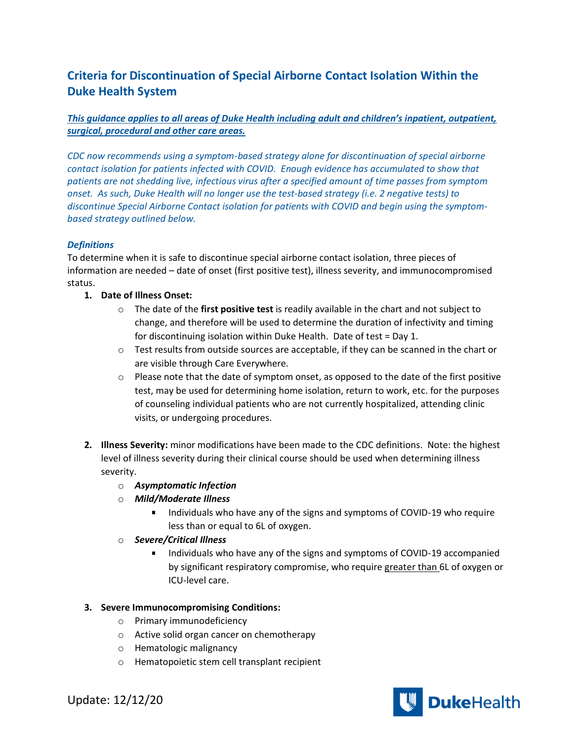# **Criteria for Discontinuation of Special Airborne Contact Isolation Within the Duke Health System**

# *This guidance applies to all areas of Duke Health including adult and children's inpatient, outpatient, surgical, procedural and other care areas.*

*CDC now recommends using a symptom-based strategy alone for discontinuation of special airborne contact isolation for patients infected with COVID. Enough evidence has accumulated to show that patients are not shedding live, infectious virus after a specified amount of time passes from symptom onset. As such, Duke Health will no longer use the test-based strategy (i.e. 2 negative tests) to discontinue Special Airborne Contact isolation for patients with COVID and begin using the symptombased strategy outlined below.* 

## *Definitions*

To determine when it is safe to discontinue special airborne contact isolation, three pieces of information are needed – date of onset (first positive test), illness severity, and immunocompromised status.

## **1. Date of Illness Onset:**

- o The date of the **first positive test** is readily available in the chart and not subject to change, and therefore will be used to determine the duration of infectivity and timing for discontinuing isolation within Duke Health. Date of test = Day 1.
- $\circ$  Test results from outside sources are acceptable, if they can be scanned in the chart or are visible through Care Everywhere.
- $\circ$  Please note that the date of symptom onset, as opposed to the date of the first positive test, may be used for determining home isolation, return to work, etc. for the purposes of counseling individual patients who are not currently hospitalized, attending clinic visits, or undergoing procedures.
- **2. Illness Severity:** minor modifications have been made to the CDC definitions. Note: the highest level of illness severity during their clinical course should be used when determining illness severity.
	- o *Asymptomatic Infection*
	- o *Mild/Moderate Illness* 
		- Individuals who have any of the signs and symptoms of COVID-19 who require less than or equal to 6L of oxygen.
	- o *Severe/Critical Illness*
		- Individuals who have any of the signs and symptoms of COVID-19 accompanied by significant respiratory compromise, who require greater than 6L of oxygen or ICU-level care.

## **3. Severe Immunocompromising Conditions:**

- o Primary immunodeficiency
- o Active solid organ cancer on chemotherapy
- o Hematologic malignancy
- o Hematopoietic stem cell transplant recipient



Update: 12/12/20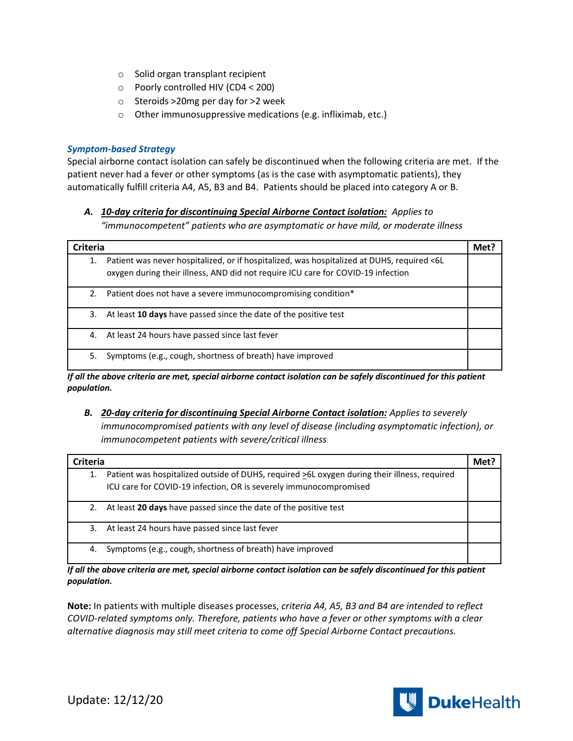- o Solid organ transplant recipient
- o Poorly controlled HIV (CD4 < 200)
- o Steroids >20mg per day for >2 week
- o Other immunosuppressive medications (e.g. infliximab, etc.)

## *Symptom-based Strategy*

Special airborne contact isolation can safely be discontinued when the following criteria are met. If the patient never had a fever or other symptoms (as is the case with asymptomatic patients), they automatically fulfill criteria A4, A5, B3 and B4. Patients should be placed into category A or B.

# *A. 10-day criteria for discontinuing Special Airborne Contact isolation: Applies to "immunocompetent" patients who are asymptomatic or have mild, or moderate illness*

| <b>Criteria</b> |                                                                                                                                                                                | Met? |
|-----------------|--------------------------------------------------------------------------------------------------------------------------------------------------------------------------------|------|
| 1.              | Patient was never hospitalized, or if hospitalized, was hospitalized at DUHS, required <6L<br>oxygen during their illness, AND did not require ICU care for COVID-19 infection |      |
| 2.              | Patient does not have a severe immunocompromising condition*                                                                                                                   |      |
| 3.              | At least 10 days have passed since the date of the positive test                                                                                                               |      |
| 4.              | At least 24 hours have passed since last fever                                                                                                                                 |      |
| 5.              | Symptoms (e.g., cough, shortness of breath) have improved                                                                                                                      |      |

*If all the above criteria are met, special airborne contact isolation can be safely discontinued for this patient population.*

# *B. 20-day criteria for discontinuing Special Airborne Contact isolation: Applies to severely immunocompromised patients with any level of disease (including asymptomatic infection), or immunocompetent patients with severe/critical illness*

| <b>Criteria</b>                                                                                                                                                         | Met : |
|-------------------------------------------------------------------------------------------------------------------------------------------------------------------------|-------|
| Patient was hospitalized outside of DUHS, required >6L oxygen during their illness, required<br>1.<br>ICU care for COVID-19 infection, OR is severely immunocompromised |       |
| At least 20 days have passed since the date of the positive test<br>2.                                                                                                  |       |
| At least 24 hours have passed since last fever<br>3.                                                                                                                    |       |
| Symptoms (e.g., cough, shortness of breath) have improved<br>4.                                                                                                         |       |

*If all the above criteria are met, special airborne contact isolation can be safely discontinued for this patient population.*

**Note:** In patients with multiple diseases processes, *criteria A4, A5, B3 and B4 are intended to reflect COVID-related symptoms only. Therefore, patients who have a fever or other symptoms with a clear alternative diagnosis may still meet criteria to come off Special Airborne Contact precautions.*

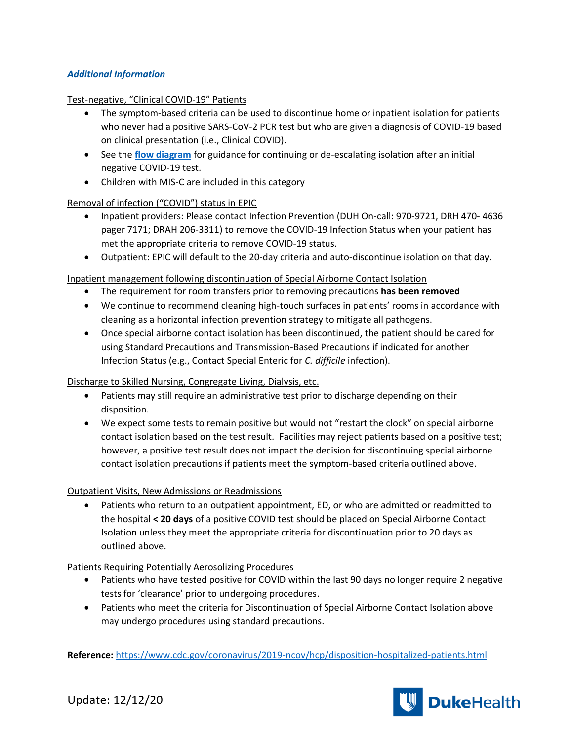# *Additional Information*

#### Test-negative, "Clinical COVID-19" Patients

- The symptom-based criteria can be used to discontinue home or inpatient isolation for patients who never had a positive SARS-CoV-2 PCR test but who are given a diagnosis of COVID-19 based on clinical presentation (i.e., Clinical COVID).
- See the **[flow diagram](https://covid-19.dukehealth.org/documents/guidance-de-escalating-isolation-after-negative-covid-19-test)** for guidance for continuing or de-escalating isolation after an initial negative COVID-19 test.
- Children with MIS-C are included in this category

## Removal of infection ("COVID") status in EPIC

- Inpatient providers: Please contact Infection Prevention (DUH On-call: 970-9721, DRH 470- 4636 pager 7171; DRAH 206-3311) to remove the COVID-19 Infection Status when your patient has met the appropriate criteria to remove COVID-19 status.
- Outpatient: EPIC will default to the 20-day criteria and auto-discontinue isolation on that day.

## Inpatient management following discontinuation of Special Airborne Contact Isolation

- The requirement for room transfers prior to removing precautions **has been removed**
- We continue to recommend cleaning high-touch surfaces in patients' rooms in accordance with cleaning as a horizontal infection prevention strategy to mitigate all pathogens.
- Once special airborne contact isolation has been discontinued, the patient should be cared for using Standard Precautions and Transmission-Based Precautions if indicated for another Infection Status (e.g., Contact Special Enteric for *C. difficile* infection).

## Discharge to Skilled Nursing, Congregate Living, Dialysis, etc.

- Patients may still require an administrative test prior to discharge depending on their disposition.
- We expect some tests to remain positive but would not "restart the clock" on special airborne contact isolation based on the test result. Facilities may reject patients based on a positive test; however, a positive test result does not impact the decision for discontinuing special airborne contact isolation precautions if patients meet the symptom-based criteria outlined above.

## Outpatient Visits, New Admissions or Readmissions

• Patients who return to an outpatient appointment, ED, or who are admitted or readmitted to the hospital **< 20 days** of a positive COVID test should be placed on Special Airborne Contact Isolation unless they meet the appropriate criteria for discontinuation prior to 20 days as outlined above.

## Patients Requiring Potentially Aerosolizing Procedures

- Patients who have tested positive for COVID within the last 90 days no longer require 2 negative tests for 'clearance' prior to undergoing procedures.
- Patients who meet the criteria for Discontinuation of Special Airborne Contact Isolation above may undergo procedures using standard precautions.

**Reference:** <https://www.cdc.gov/coronavirus/2019-ncov/hcp/disposition-hospitalized-patients.html>



Update: 12/12/20